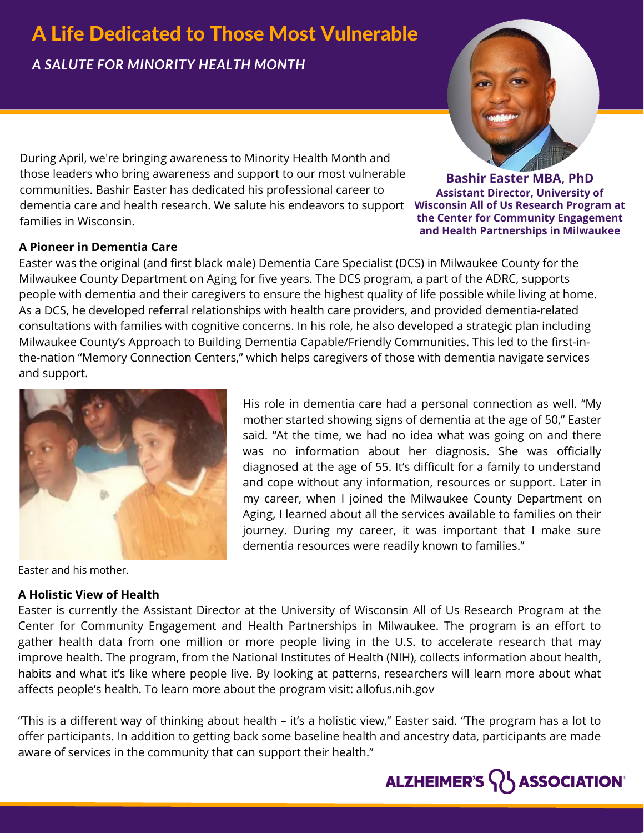# A Life Dedicated to Those Most Vulnerable

*A SALUTE FOR MINORITY HEALTH MONTH*

 $d$ ementia care and health research. We salute his endeavors to support  $\;$  **Wisconsin All of Us Research Program at** During April, we're bringing awareness to Minority Health Month and those leaders who bring awareness and support to our most vulnerable communities. Bashir Easter has dedicated his professional career to families in Wisconsin.

### **A Pioneer in Dementia Care**

Easter was the original (and first black male) Dementia Care Specialist (DCS) in Milwaukee County for the Milwaukee County Department on Aging for five years. The DCS program, a part of the ADRC, supports people with dementia and their caregivers to ensure the highest quality of life possible while living at home. As a DCS, he developed referral relationships with health care providers, and provided dementia-related consultations with families with cognitive concerns. In his role, he also developed a strategic plan including Milwaukee County's Approach to Building Dementia Capable/Friendly Communities. This led to the first-inthe-nation "Memory Connection Centers," which helps caregivers of those with dementia navigate services and support.

> His role in dementia care had a personal connection as well. "My mother started showing signs of dementia at the age of 50," Easter said. "At the time, we had no idea what was going on and there was no information about her diagnosis. She was officially diagnosed at the age of 55. It's difficult for a family to understand and cope without any information, resources or support. Later in my career, when I joined the Milwaukee County Department on Aging, I learned about all the services available to families on their journey. During my career, it was important that I make sure

dementia resources were readily known to families."



Easter and his mother.

#### **A Holistic View of Health**

Easter is currently the Assistant Director at the University of Wisconsin All of Us Research Program at the Center for Community Engagement and Health Partnerships in Milwaukee. The program is an effort to gather health data from one million or more people living in the U.S. to accelerate research that may improve health. The program, from the National Institutes of Health (NIH), collects information about health, habits and what it's like where people live. By looking at patterns, researchers will learn more about what affects people's health. To learn more about the program visit: allofus.nih.gov

"This is a different way of thinking about health – it's a holistic view," Easter said. "The program has a lot to offer participants. In addition to getting back some baseline health and ancestry data, participants are made aware of services in the community that can support their health."



**Bashir Easter MBA, PhD Assistant Director, University of the Center for Community Engagement and Health Partnerships in Milwaukee**